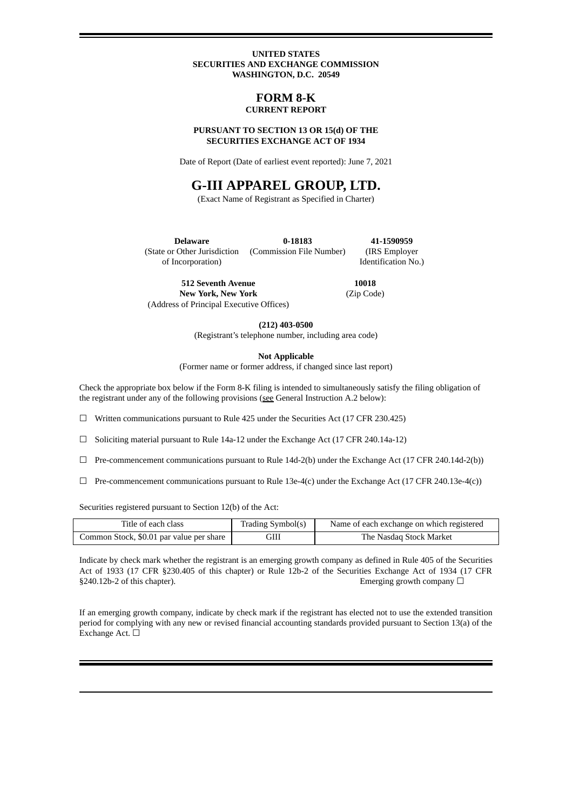#### **UNITED STATES SECURITIES AND EXCHANGE COMMISSION WASHINGTON, D.C. 20549**

### **FORM 8-K CURRENT REPORT**

#### **PURSUANT TO SECTION 13 OR 15(d) OF THE SECURITIES EXCHANGE ACT OF 1934**

Date of Report (Date of earliest event reported): June 7, 2021

# **G-III APPAREL GROUP, LTD.**

(Exact Name of Registrant as Specified in Charter)

**Delaware** (State or Other Jurisdiction of Incorporation) **0-18183** (Commission File Number) **41-1590959** (IRS Employer Identification No.)

**512 Seventh Avenue New York, New York** (Address of Principal Executive Offices)

**10018** (Zip Code)

**(212) 403-0500**

(Registrant's telephone number, including area code)

**Not Applicable**

(Former name or former address, if changed since last report)

Check the appropriate box below if the Form 8-K filing is intended to simultaneously satisfy the filing obligation of the registrant under any of the following provisions (see General Instruction A.2 below):

 $\Box$  Written communications pursuant to Rule 425 under the Securities Act (17 CFR 230.425)

☐ Soliciting material pursuant to Rule 14a-12 under the Exchange Act (17 CFR 240.14a-12)

- $\Box$  Pre-commencement communications pursuant to Rule 14d-2(b) under the Exchange Act (17 CFR 240.14d-2(b))
- $\Box$  Pre-commencement communications pursuant to Rule 13e-4(c) under the Exchange Act (17 CFR 240.13e-4(c))

Securities registered pursuant to Section 12(b) of the Act:

| Title of each class                      | Trading Symbol(s) | Name of each exchange on which registered |
|------------------------------------------|-------------------|-------------------------------------------|
| Common Stock, \$0.01 par value per share | GIII              | The Nasdag Stock Market                   |

Indicate by check mark whether the registrant is an emerging growth company as defined in Rule 405 of the Securities Act of 1933 (17 CFR §230.405 of this chapter) or Rule 12b-2 of the Securities Exchange Act of 1934 (17 CFR  $§240.12b-2$  of this chapter). Emerging growth company  $□$ 

If an emerging growth company, indicate by check mark if the registrant has elected not to use the extended transition period for complying with any new or revised financial accounting standards provided pursuant to Section 13(a) of the Exchange Act. □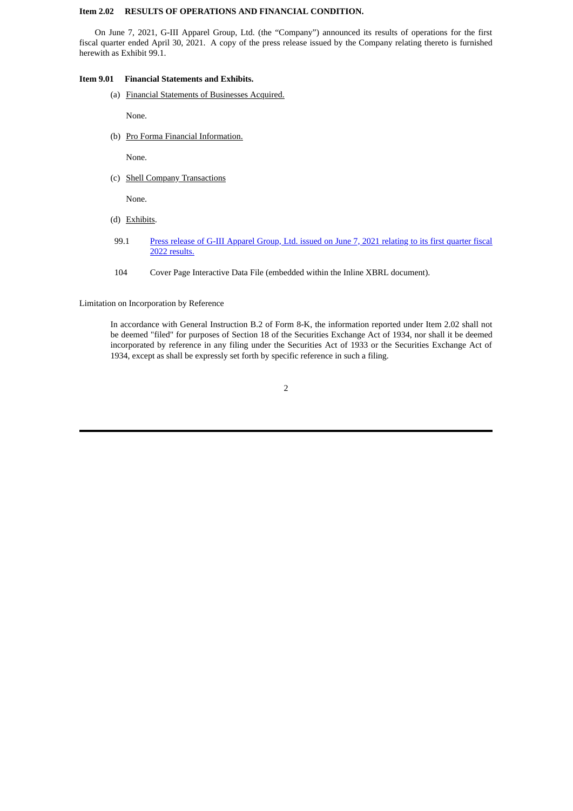### **Item 2.02 RESULTS OF OPERATIONS AND FINANCIAL CONDITION.**

On June 7, 2021, G-III Apparel Group, Ltd. (the "Company") announced its results of operations for the first fiscal quarter ended April 30, 2021. A copy of the press release issued by the Company relating thereto is furnished herewith as Exhibit 99.1.

#### **Item 9.01 Financial Statements and Exhibits.**

(a) Financial Statements of Businesses Acquired.

None.

(b) Pro Forma Financial Information.

None.

(c) Shell Company Transactions

None.

- (d) Exhibits.
- 99.1 Press release of G-III [Apparel](#page-4-0) Group, Ltd. issued on June 7, 2021 relating to its first quarter fiscal 2022 results.
- 104 Cover Page Interactive Data File (embedded within the Inline XBRL document).

Limitation on Incorporation by Reference

In accordance with General Instruction B.2 of Form 8-K, the information reported under Item 2.02 shall not be deemed "filed" for purposes of Section 18 of the Securities Exchange Act of 1934, nor shall it be deemed incorporated by reference in any filing under the Securities Act of 1933 or the Securities Exchange Act of 1934, except as shall be expressly set forth by specific reference in such a filing.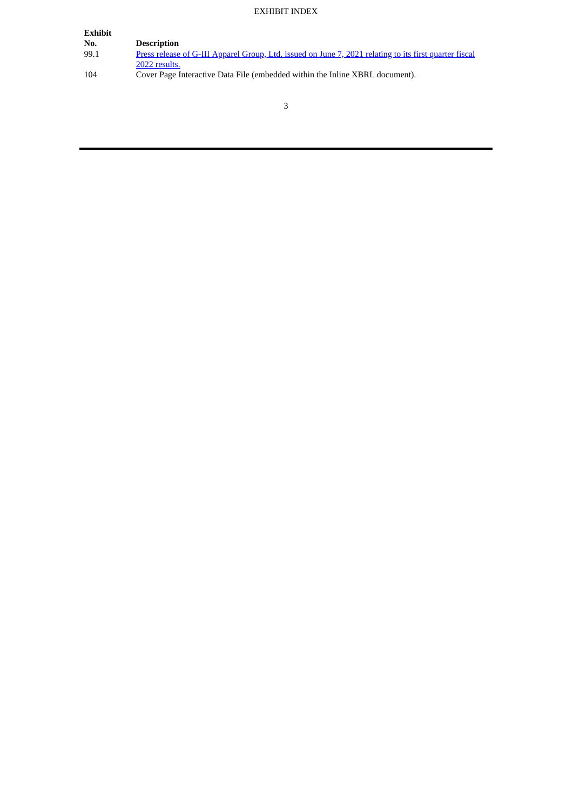## EXHIBIT INDEX

| Exhibit |                                                                                                        |
|---------|--------------------------------------------------------------------------------------------------------|
| No.     | <b>Description</b>                                                                                     |
| 99.1    | Press release of G-III Apparel Group, Ltd. issued on June 7, 2021 relating to its first quarter fiscal |
|         | 2022 results.                                                                                          |
| 104     | Cover Page Interactive Data File (embedded within the Inline XBRL document).                           |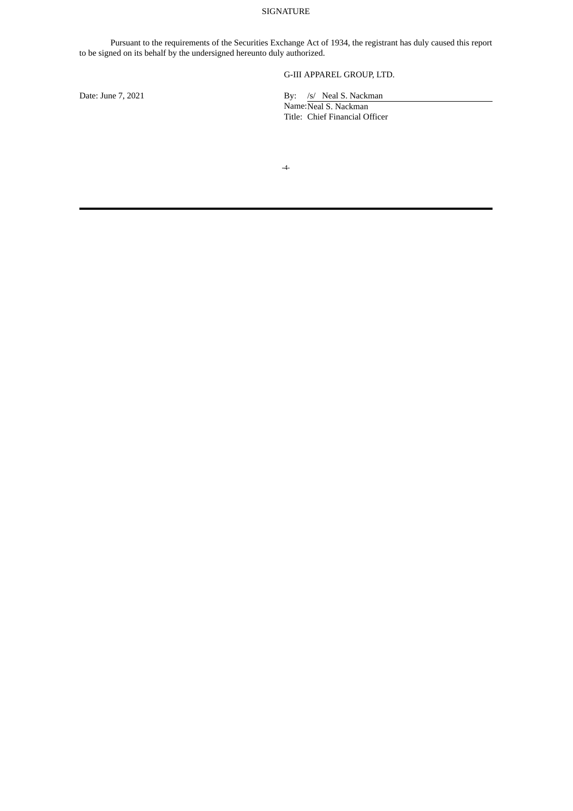### SIGNATURE

Pursuant to the requirements of the Securities Exchange Act of 1934, the registrant has duly caused this report to be signed on its behalf by the undersigned hereunto duly authorized.

## G-III APPAREL GROUP, LTD.

Date: June 7, 2021 By: /s/ Neal S. Nackman

Name: Neal S. Nackman Title: Chief Financial Officer

**-**4-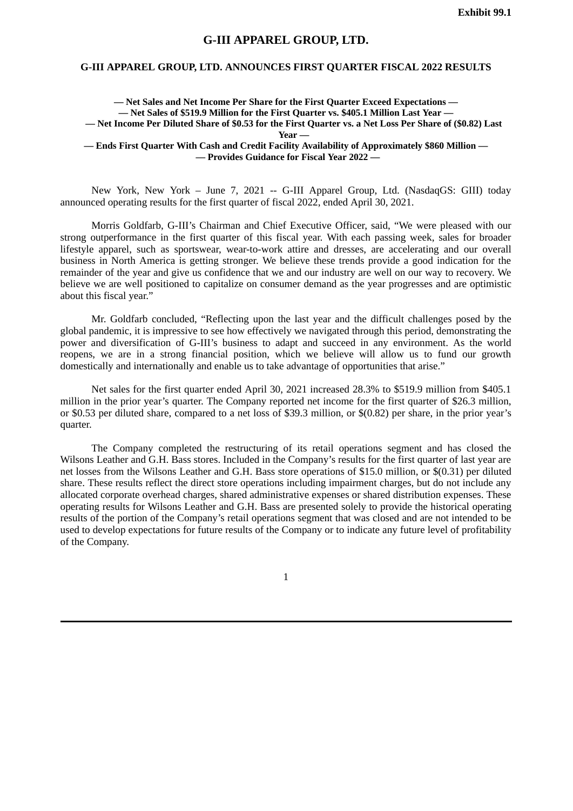## **G-III APPAREL GROUP, LTD.**

### <span id="page-4-0"></span>**G-III APPAREL GROUP, LTD. ANNOUNCES FIRST QUARTER FISCAL 2022 RESULTS**

**— Net Sales and Net Income Per Share for the First Quarter Exceed Expectations — — Net Sales of \$519.9 Million for the First Quarter vs. \$405.1 Million Last Year —** - Net Income Per Diluted Share of \$0.53 for the First Quarter vs. a Net Loss Per Share of (\$0.82) Last **Year — — Ends First Quarter With Cash and Credit Facility Availability of Approximately \$860 Million — — Provides Guidance for Fiscal Year 2022 —**

New York, New York – June 7, 2021 -- G-III Apparel Group, Ltd. (NasdaqGS: GIII) today announced operating results for the first quarter of fiscal 2022, ended April 30, 2021.

Morris Goldfarb, G-III's Chairman and Chief Executive Officer, said, "We were pleased with our strong outperformance in the first quarter of this fiscal year. With each passing week, sales for broader lifestyle apparel, such as sportswear, wear-to-work attire and dresses, are accelerating and our overall business in North America is getting stronger. We believe these trends provide a good indication for the remainder of the year and give us confidence that we and our industry are well on our way to recovery. We believe we are well positioned to capitalize on consumer demand as the year progresses and are optimistic about this fiscal year."

Mr. Goldfarb concluded, "Reflecting upon the last year and the difficult challenges posed by the global pandemic, it is impressive to see how effectively we navigated through this period, demonstrating the power and diversification of G-III's business to adapt and succeed in any environment. As the world reopens, we are in a strong financial position, which we believe will allow us to fund our growth domestically and internationally and enable us to take advantage of opportunities that arise."

Net sales for the first quarter ended April 30, 2021 increased 28.3% to \$519.9 million from \$405.1 million in the prior year's quarter. The Company reported net income for the first quarter of \$26.3 million, or \$0.53 per diluted share, compared to a net loss of \$39.3 million, or \$(0.82) per share, in the prior year's quarter.

The Company completed the restructuring of its retail operations segment and has closed the Wilsons Leather and G.H. Bass stores. Included in the Company's results for the first quarter of last year are net losses from the Wilsons Leather and G.H. Bass store operations of \$15.0 million, or \$(0.31) per diluted share. These results reflect the direct store operations including impairment charges, but do not include any allocated corporate overhead charges, shared administrative expenses or shared distribution expenses. These operating results for Wilsons Leather and G.H. Bass are presented solely to provide the historical operating results of the portion of the Company's retail operations segment that was closed and are not intended to be used to develop expectations for future results of the Company or to indicate any future level of profitability of the Company.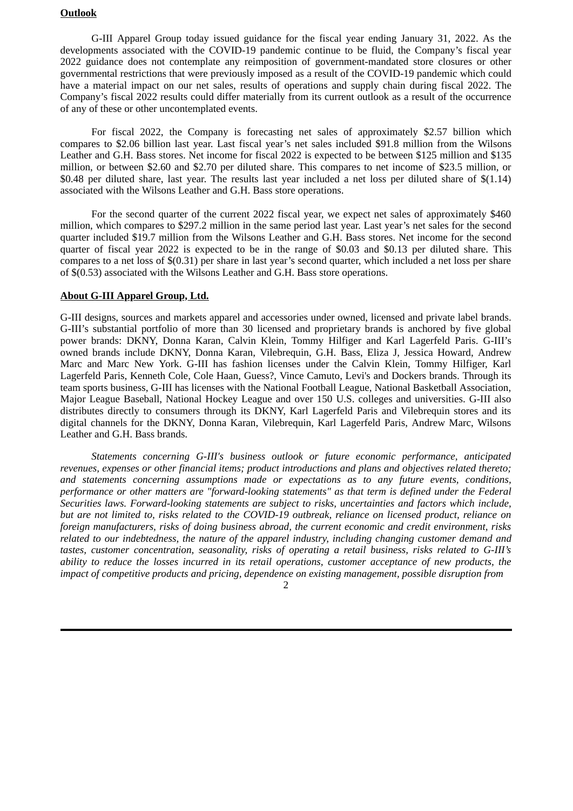## **Outlook**

G-III Apparel Group today issued guidance for the fiscal year ending January 31, 2022. As the developments associated with the COVID-19 pandemic continue to be fluid, the Company's fiscal year 2022 guidance does not contemplate any reimposition of government-mandated store closures or other governmental restrictions that were previously imposed as a result of the COVID-19 pandemic which could have a material impact on our net sales, results of operations and supply chain during fiscal 2022. The Company's fiscal 2022 results could differ materially from its current outlook as a result of the occurrence of any of these or other uncontemplated events.

For fiscal 2022, the Company is forecasting net sales of approximately \$2.57 billion which compares to \$2.06 billion last year. Last fiscal year's net sales included \$91.8 million from the Wilsons Leather and G.H. Bass stores. Net income for fiscal 2022 is expected to be between \$125 million and \$135 million, or between \$2.60 and \$2.70 per diluted share. This compares to net income of \$23.5 million, or \$0.48 per diluted share, last year. The results last year included a net loss per diluted share of \$(1.14) associated with the Wilsons Leather and G.H. Bass store operations.

For the second quarter of the current 2022 fiscal year, we expect net sales of approximately \$460 million, which compares to \$297.2 million in the same period last year. Last year's net sales for the second quarter included \$19.7 million from the Wilsons Leather and G.H. Bass stores. Net income for the second quarter of fiscal year 2022 is expected to be in the range of \$0.03 and \$0.13 per diluted share. This compares to a net loss of \$(0.31) per share in last year's second quarter, which included a net loss per share of \$(0.53) associated with the Wilsons Leather and G.H. Bass store operations.

## **About G-III Apparel Group, Ltd.**

G-III designs, sources and markets apparel and accessories under owned, licensed and private label brands. G-III's substantial portfolio of more than 30 licensed and proprietary brands is anchored by five global power brands: DKNY, Donna Karan, Calvin Klein, Tommy Hilfiger and Karl Lagerfeld Paris. G-III's owned brands include DKNY, Donna Karan, Vilebrequin, G.H. Bass, Eliza J, Jessica Howard, Andrew Marc and Marc New York. G-III has fashion licenses under the Calvin Klein, Tommy Hilfiger, Karl Lagerfeld Paris, Kenneth Cole, Cole Haan, Guess?, Vince Camuto, Levi's and Dockers brands. Through its team sports business, G-III has licenses with the National Football League, National Basketball Association, Major League Baseball, National Hockey League and over 150 U.S. colleges and universities. G-III also distributes directly to consumers through its DKNY, Karl Lagerfeld Paris and Vilebrequin stores and its digital channels for the DKNY, Donna Karan, Vilebrequin, Karl Lagerfeld Paris, Andrew Marc, Wilsons Leather and G.H. Bass brands.

*Statements concerning G-III's business outlook or future economic performance, anticipated revenues, expenses or other financial items; product introductions and plans and objectives related thereto; and statements concerning assumptions made or expectations as to any future events, conditions, performance or other matters are "forward-looking statements" as that term is defined under the Federal Securities laws. Forward-looking statements are subject to risks, uncertainties and factors which include, but are not limited to, risks related to the COVID-19 outbreak, reliance on licensed product, reliance on foreign manufacturers, risks of doing business abroad, the current economic and credit environment, risks related to our indebtedness, the nature of the apparel industry, including changing customer demand and tastes, customer concentration, seasonality, risks of operating a retail business, risks related to G-III's ability to reduce the losses incurred in its retail operations, customer acceptance of new products, the impact of competitive products and pricing, dependence on existing management, possible disruption from*

### $\mathcal{D}$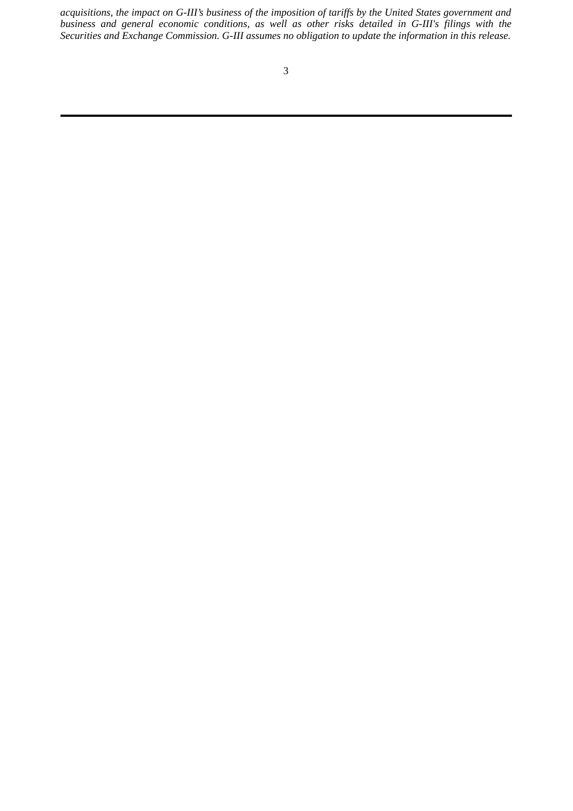*acquisitions, the impact on G-III's business of the imposition of tariffs by the United States government and business and general economic conditions, as well as other risks detailed in G-III's filings with the Securities and Exchange Commission. G-III assumes no obligation to update the information in this release.*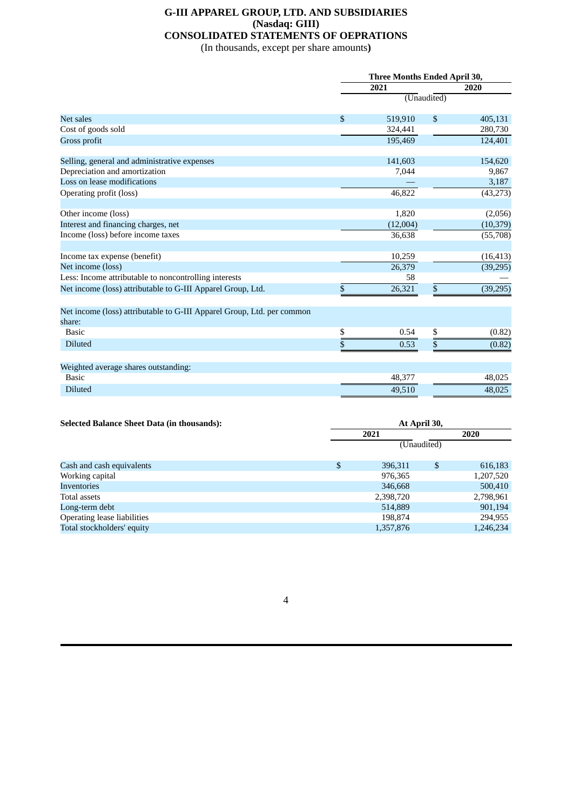## **G-III APPAREL GROUP, LTD. AND SUBSIDIARIES (Nasdaq: GIII) CONSOLIDATED STATEMENTS OF OEPRATIONS**

(In thousands, except per share amounts**)**

|                                                                                  |              | <b>Three Months Ended April 30,</b> |                |           |  |  |  |
|----------------------------------------------------------------------------------|--------------|-------------------------------------|----------------|-----------|--|--|--|
|                                                                                  |              | 2020                                |                |           |  |  |  |
|                                                                                  |              |                                     |                |           |  |  |  |
| Net sales                                                                        | $\mathbf{s}$ | 519,910                             | $\mathfrak{s}$ | 405,131   |  |  |  |
| Cost of goods sold                                                               |              | 324,441                             |                | 280,730   |  |  |  |
| Gross profit                                                                     |              | 195,469                             |                | 124,401   |  |  |  |
| Selling, general and administrative expenses                                     |              | 141,603                             |                | 154,620   |  |  |  |
| Depreciation and amortization                                                    |              | 7,044                               |                | 9,867     |  |  |  |
| Loss on lease modifications                                                      |              |                                     |                | 3,187     |  |  |  |
| Operating profit (loss)                                                          |              | 46,822                              |                | (43, 273) |  |  |  |
| Other income (loss)                                                              |              | 1,820                               |                | (2,056)   |  |  |  |
| Interest and financing charges, net                                              |              | (12,004)                            |                | (10, 379) |  |  |  |
| Income (loss) before income taxes                                                |              | 36,638                              |                | (55,708)  |  |  |  |
|                                                                                  |              |                                     |                |           |  |  |  |
| Income tax expense (benefit)                                                     |              | 10,259                              |                | (16, 413) |  |  |  |
| Net income (loss)                                                                |              | 26,379                              |                | (39, 295) |  |  |  |
| Less: Income attributable to noncontrolling interests                            |              | 58                                  |                |           |  |  |  |
| Net income (loss) attributable to G-III Apparel Group, Ltd.                      | \$           | 26,321                              | \$             | (39, 295) |  |  |  |
| Net income (loss) attributable to G-III Apparel Group, Ltd. per common<br>share: |              |                                     |                |           |  |  |  |
| <b>Basic</b>                                                                     | \$           | 0.54                                | $\frac{3}{2}$  | (0.82)    |  |  |  |
| <b>Diluted</b>                                                                   | \$           | 0.53                                | \$             | (0.82)    |  |  |  |
|                                                                                  |              |                                     |                |           |  |  |  |
| Weighted average shares outstanding:                                             |              |                                     |                |           |  |  |  |
| <b>Basic</b>                                                                     |              | 48,377                              |                | 48,025    |  |  |  |
| <b>Diluted</b>                                                                   |              | 49,510                              |                | 48,025    |  |  |  |

| <b>Selected Balance Sheet Data (in thousands):</b> | At April 30,  |             |           |  |  |  |
|----------------------------------------------------|---------------|-------------|-----------|--|--|--|
|                                                    | 2021          |             |           |  |  |  |
|                                                    |               | (Unaudited) |           |  |  |  |
| Cash and cash equivalents                          | \$<br>396,311 | \$          | 616,183   |  |  |  |
| Working capital                                    | 976,365       |             | 1,207,520 |  |  |  |
| Inventories                                        | 346,668       |             | 500,410   |  |  |  |
| Total assets                                       | 2,398,720     |             | 2,798,961 |  |  |  |
| Long-term debt                                     | 514,889       |             | 901,194   |  |  |  |
| Operating lease liabilities                        | 198.874       |             | 294,955   |  |  |  |
| Total stockholders' equity                         | 1,357,876     |             | 1,246,234 |  |  |  |
|                                                    |               |             |           |  |  |  |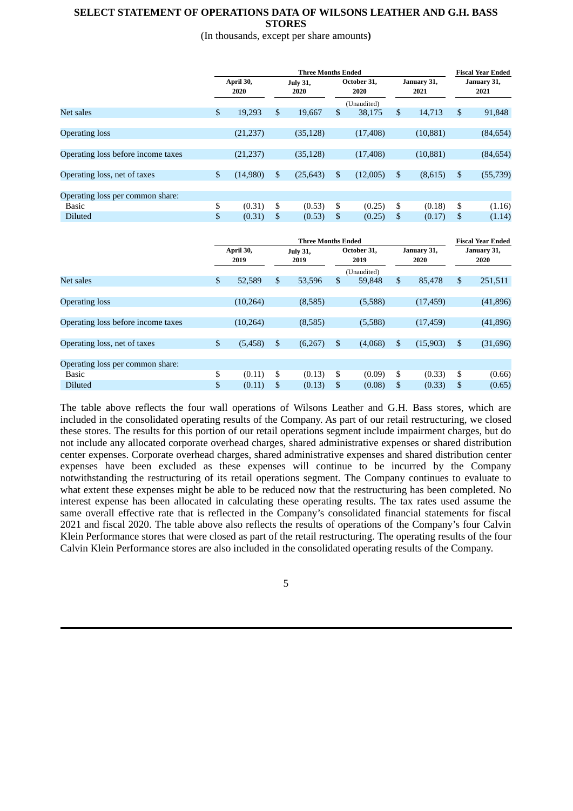## **SELECT STATEMENT OF OPERATIONS DATA OF WILSONS LEATHER AND G.H. BASS STORES**

(In thousands, except per share amounts**)**

|                                    | <b>Three Months Ended</b> |           |                         |           |                     |             | <b>Fiscal Year Ended</b> |           |                     |           |
|------------------------------------|---------------------------|-----------|-------------------------|-----------|---------------------|-------------|--------------------------|-----------|---------------------|-----------|
|                                    | April 30,<br>2020         |           | <b>July 31,</b><br>2020 |           | October 31,<br>2020 |             | January 31,<br>2021      |           | January 31,<br>2021 |           |
|                                    |                           |           |                         |           |                     | (Unaudited) |                          |           |                     |           |
| Net sales                          | \$                        | 19.293    | \$                      | 19.667    | $\mathbb{S}$        | 38,175      | \$                       | 14.713    | $\mathbb{S}$        | 91,848    |
|                                    |                           |           |                         |           |                     |             |                          |           |                     |           |
| <b>Operating loss</b>              |                           | (21, 237) |                         | (35, 128) |                     | (17, 408)   |                          | (10, 881) |                     | (84, 654) |
|                                    |                           |           |                         |           |                     |             |                          |           |                     |           |
| Operating loss before income taxes |                           | (21, 237) |                         | (35, 128) |                     | (17, 408)   |                          | (10, 881) |                     | (84, 654) |
|                                    |                           |           |                         |           |                     |             |                          |           |                     |           |
| Operating loss, net of taxes       | \$                        | (14,980)  | \$                      | (25, 643) | \$                  | (12,005)    | \$                       | (8,615)   | \$                  | (55, 739) |
|                                    |                           |           |                         |           |                     |             |                          |           |                     |           |
| Operating loss per common share:   |                           |           |                         |           |                     |             |                          |           |                     |           |
| <b>Basic</b>                       | \$                        | (0.31)    | \$                      | (0.53)    | \$                  | (0.25)      | \$                       | (0.18)    | \$                  | (1.16)    |
| <b>Diluted</b>                     | \$                        | (0.31)    | \$                      | (0.53)    | \$                  | (0.25)      | \$                       | (0.17)    | \$                  | (1.14)    |
|                                    |                           |           |                         |           |                     |             |                          |           |                     |           |

|                                    | <b>Three Months Ended</b> |           |                         |         |                     |             |                     | <b>Fiscal Year Ended</b> |                     |           |
|------------------------------------|---------------------------|-----------|-------------------------|---------|---------------------|-------------|---------------------|--------------------------|---------------------|-----------|
|                                    | April 30,<br>2019         |           | <b>July 31,</b><br>2019 |         | October 31,<br>2019 |             | January 31,<br>2020 |                          | January 31,<br>2020 |           |
|                                    |                           |           |                         |         |                     | (Unaudited) |                     |                          |                     |           |
| Net sales                          | \$                        | 52,589    | \$                      | 53,596  | \$                  | 59,848      | $\mathbb{S}$        | 85,478                   | $\mathbb{S}$        | 251,511   |
|                                    |                           |           |                         |         |                     |             |                     |                          |                     |           |
| <b>Operating loss</b>              |                           | (10, 264) |                         | (8,585) |                     | (5,588)     |                     | (17, 459)                |                     | (41, 896) |
|                                    |                           |           |                         |         |                     |             |                     |                          |                     |           |
| Operating loss before income taxes |                           | (10, 264) |                         | (8,585) |                     | (5,588)     |                     | (17, 459)                |                     | (41, 896) |
|                                    |                           |           |                         |         |                     |             |                     |                          |                     |           |
| Operating loss, net of taxes       | \$                        | (5, 458)  | \$                      | (6,267) | \$                  | (4,068)     | \$                  | (15,903)                 | $\mathbb{S}$        | (31, 696) |
|                                    |                           |           |                         |         |                     |             |                     |                          |                     |           |
| Operating loss per common share:   |                           |           |                         |         |                     |             |                     |                          |                     |           |
| <b>Basic</b>                       | \$                        | (0.11)    | \$                      | (0.13)  | \$                  | (0.09)      | \$                  | (0.33)                   | \$                  | (0.66)    |
| <b>Diluted</b>                     | \$                        | (0.11)    | \$                      | (0.13)  | \$                  | (0.08)      | \$                  | (0.33)                   | \$                  | (0.65)    |
|                                    |                           |           |                         |         |                     |             |                     |                          |                     |           |

The table above reflects the four wall operations of Wilsons Leather and G.H. Bass stores, which are included in the consolidated operating results of the Company. As part of our retail restructuring, we closed these stores. The results for this portion of our retail operations segment include impairment charges, but do not include any allocated corporate overhead charges, shared administrative expenses or shared distribution center expenses. Corporate overhead charges, shared administrative expenses and shared distribution center expenses have been excluded as these expenses will continue to be incurred by the Company notwithstanding the restructuring of its retail operations segment. The Company continues to evaluate to what extent these expenses might be able to be reduced now that the restructuring has been completed. No interest expense has been allocated in calculating these operating results. The tax rates used assume the same overall effective rate that is reflected in the Company's consolidated financial statements for fiscal 2021 and fiscal 2020. The table above also reflects the results of operations of the Company's four Calvin Klein Performance stores that were closed as part of the retail restructuring. The operating results of the four Calvin Klein Performance stores are also included in the consolidated operating results of the Company.